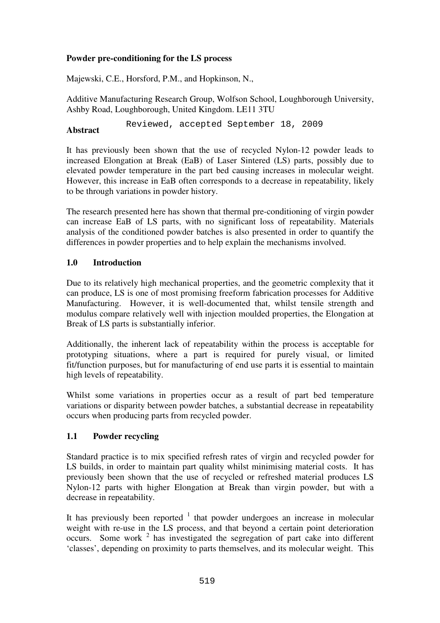## **Powder pre-conditioning for the LS process**

Majewski, C.E., Horsford, P.M., and Hopkinson, N.,

Additive Manufacturing Research Group, Wolfson School, Loughborough University, Ashby Road, Loughborough, United Kingdom. LE11 3TU

**Abstract**  Reviewed, accepted September 18, 2009

It has previously been shown that the use of recycled Nylon-12 powder leads to increased Elongation at Break (EaB) of Laser Sintered (LS) parts, possibly due to elevated powder temperature in the part bed causing increases in molecular weight. However, this increase in EaB often corresponds to a decrease in repeatability, likely to be through variations in powder history.

The research presented here has shown that thermal pre-conditioning of virgin powder can increase EaB of LS parts, with no significant loss of repeatability. Materials analysis of the conditioned powder batches is also presented in order to quantify the differences in powder properties and to help explain the mechanisms involved.

## **1.0 Introduction**

Due to its relatively high mechanical properties, and the geometric complexity that it can produce, LS is one of most promising freeform fabrication processes for Additive Manufacturing. However, it is well-documented that, whilst tensile strength and modulus compare relatively well with injection moulded properties, the Elongation at Break of LS parts is substantially inferior.

Additionally, the inherent lack of repeatability within the process is acceptable for prototyping situations, where a part is required for purely visual, or limited fit/function purposes, but for manufacturing of end use parts it is essential to maintain high levels of repeatability.

Whilst some variations in properties occur as a result of part bed temperature variations or disparity between powder batches, a substantial decrease in repeatability occurs when producing parts from recycled powder.

## **1.1 Powder recycling**

Standard practice is to mix specified refresh rates of virgin and recycled powder for LS builds, in order to maintain part quality whilst minimising material costs. It has previously been shown that the use of recycled or refreshed material produces LS Nylon-12 parts with higher Elongation at Break than virgin powder, but with a decrease in repeatability.

It has previously been reported  $1$  that powder undergoes an increase in molecular weight with re-use in the LS process, and that beyond a certain point deterioration occurs. Some work  $2$  has investigated the segregation of part cake into different 'classes', depending on proximity to parts themselves, and its molecular weight. This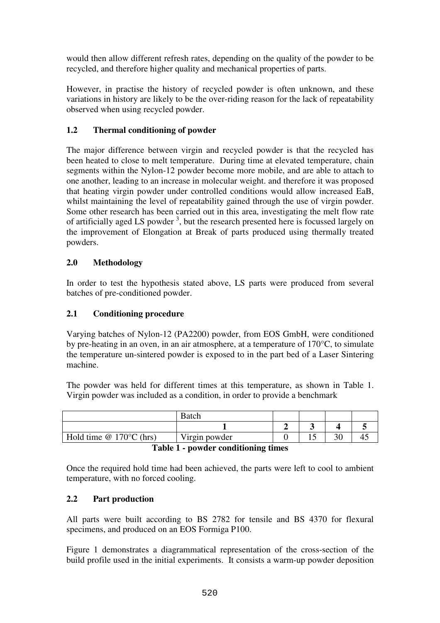would then allow different refresh rates, depending on the quality of the powder to be recycled, and therefore higher quality and mechanical properties of parts.

However, in practise the history of recycled powder is often unknown, and these variations in history are likely to be the over-riding reason for the lack of repeatability observed when using recycled powder.

## **1.2 Thermal conditioning of powder**

The major difference between virgin and recycled powder is that the recycled has been heated to close to melt temperature. During time at elevated temperature, chain segments within the Nylon-12 powder become more mobile, and are able to attach to one another, leading to an increase in molecular weight. and therefore it was proposed that heating virgin powder under controlled conditions would allow increased EaB, whilst maintaining the level of repeatability gained through the use of virgin powder. Some other research has been carried out in this area, investigating the melt flow rate of artificially aged LS powder<sup>3</sup>, but the research presented here is focussed largely on the improvement of Elongation at Break of parts produced using thermally treated powders.

## **2.0 Methodology**

In order to test the hypothesis stated above, LS parts were produced from several batches of pre-conditioned powder.

## **2.1 Conditioning procedure**

Varying batches of Nylon-12 (PA2200) powder, from EOS GmbH, were conditioned by pre-heating in an oven, in an air atmosphere, at a temperature of 170°C, to simulate the temperature un-sintered powder is exposed to in the part bed of a Laser Sintering machine.

The powder was held for different times at this temperature, as shown in Table 1. Virgin powder was included as a condition, in order to provide a benchmark

|                                                       | Batch         |  |   |    |  |
|-------------------------------------------------------|---------------|--|---|----|--|
|                                                       |               |  |   |    |  |
| Hold time $@ 170°C$ (hrs)                             | Virgin powder |  | ~ | υU |  |
| $- - -$<br>.<br>$\overline{\phantom{a}}$<br>$\bullet$ |               |  |   |    |  |

| Table 1 - powder conditioning times |  |  |  |
|-------------------------------------|--|--|--|
|-------------------------------------|--|--|--|

Once the required hold time had been achieved, the parts were left to cool to ambient temperature, with no forced cooling.

## **2.2 Part production**

All parts were built according to BS 2782 for tensile and BS 4370 for flexural specimens, and produced on an EOS Formiga P100.

Figure 1 demonstrates a diagrammatical representation of the cross-section of the build profile used in the initial experiments. It consists a warm-up powder deposition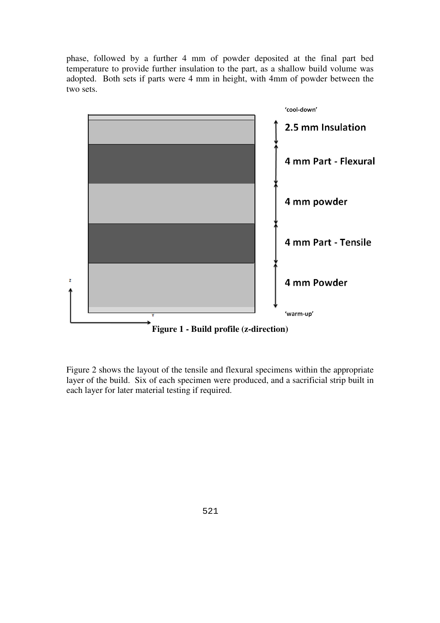phase, followed by a further 4 mm of powder deposited at the final part bed temperature to provide further insulation to the part, as a shallow build volume was adopted. Both sets if parts were 4 mm in height, with 4mm of powder between the two sets.



Figure 2 shows the layout of the tensile and flexural specimens within the appropriate layer of the build. Six of each specimen were produced, and a sacrificial strip built in each layer for later material testing if required.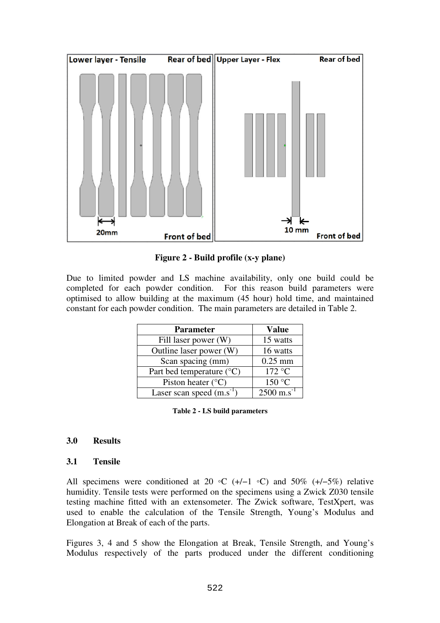

**Figure 2 - Build profile (x-y plane)** 

Due to limited powder and LS machine availability, only one build could be completed for each powder condition. For this reason build parameters were optimised to allow building at the maximum (45 hour) hold time, and maintained constant for each powder condition. The main parameters are detailed in Table 2.

| <b>Parameter</b>                   | <b>Value</b>          |
|------------------------------------|-----------------------|
| Fill laser power (W)               | 15 watts              |
| Outline laser power (W)            | 16 watts              |
| Scan spacing (mm)                  | $0.25$ mm             |
| Part bed temperature $(^{\circ}C)$ | 172 °C                |
| Piston heater $(^{\circ}C)$        | 150 °C                |
| Laser scan speed $(m.s^{-1})$      | 2500 m.s <sup>-</sup> |

| Table 2 - LS build parameters |  |
|-------------------------------|--|
|-------------------------------|--|

### **3.0 Results**

### **3.1 Tensile**

All specimens were conditioned at 20 ∘C (+/−1 °C) and 50% (+/−5%) relative humidity. Tensile tests were performed on the specimens using a Zwick Z030 tensile testing machine fitted with an extensometer. The Zwick software, TestXpert, was used to enable the calculation of the Tensile Strength, Young's Modulus and Elongation at Break of each of the parts.

Figures 3, 4 and 5 show the Elongation at Break, Tensile Strength, and Young's Modulus respectively of the parts produced under the different conditioning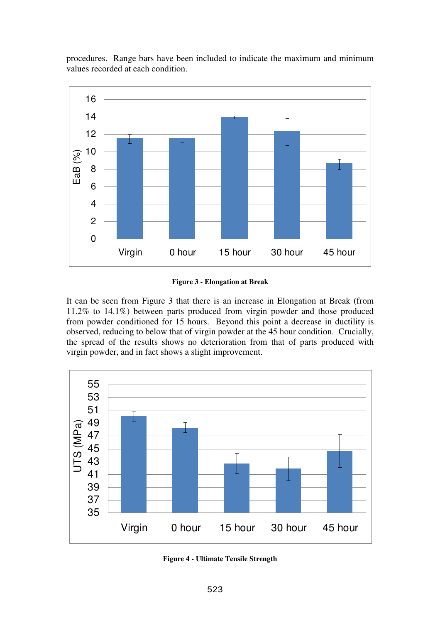procedures. Range bars have been included to indicate the maximum and minimum values recorded at each condition.



**Figure 3 - Elongation at Break** 

It can be seen from Figure 3 that there is an increase in Elongation at Break (from 11.2% to 14.1%) between parts produced from virgin powder and those produced from powder conditioned for 15 hours. Beyond this point a decrease in ductility is observed, reducing to below that of virgin powder at the 45 hour condition. Crucially, the spread of the results shows no deterioration from that of parts produced with virgin powder, and in fact shows a slight improvement.



**Figure 4 - Ultimate Tensile Strength**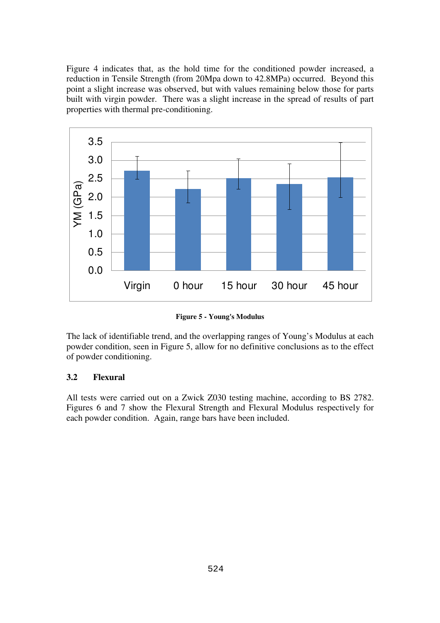Figure 4 indicates that, as the hold time for the conditioned powder increased, a reduction in Tensile Strength (from 20Mpa down to 42.8MPa) occurred. Beyond this point a slight increase was observed, but with values remaining below those for parts built with virgin powder. There was a slight increase in the spread of results of part properties with thermal pre-conditioning.



**Figure 5 - Young's Modulus** 

The lack of identifiable trend, and the overlapping ranges of Young's Modulus at each powder condition, seen in Figure 5, allow for no definitive conclusions as to the effect of powder conditioning.

### **3.2 Flexural**

All tests were carried out on a Zwick Z030 testing machine, according to BS 2782. Figures 6 and 7 show the Flexural Strength and Flexural Modulus respectively for each powder condition. Again, range bars have been included.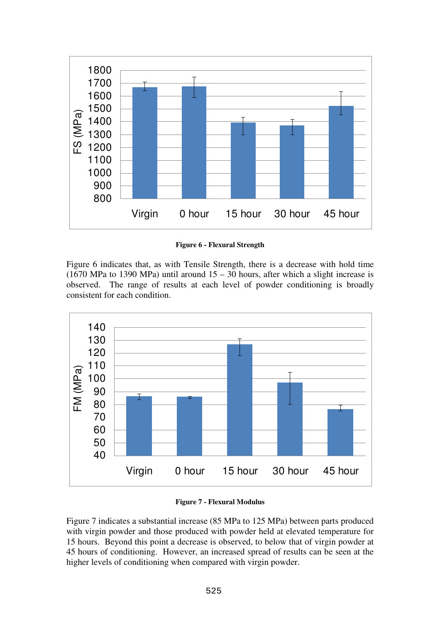

**Figure 6 - Flexural Strength** 

Figure 6 indicates that, as with Tensile Strength, there is a decrease with hold time (1670 MPa to 1390 MPa) until around  $15 - 30$  hours, after which a slight increase is observed. The range of results at each level of powder conditioning is broadly consistent for each condition.



**Figure 7 - Flexural Modulus** 

Figure 7 indicates a substantial increase (85 MPa to 125 MPa) between parts produced with virgin powder and those produced with powder held at elevated temperature for 15 hours. Beyond this point a decrease is observed, to below that of virgin powder at 45 hours of conditioning. However, an increased spread of results can be seen at the higher levels of conditioning when compared with virgin powder.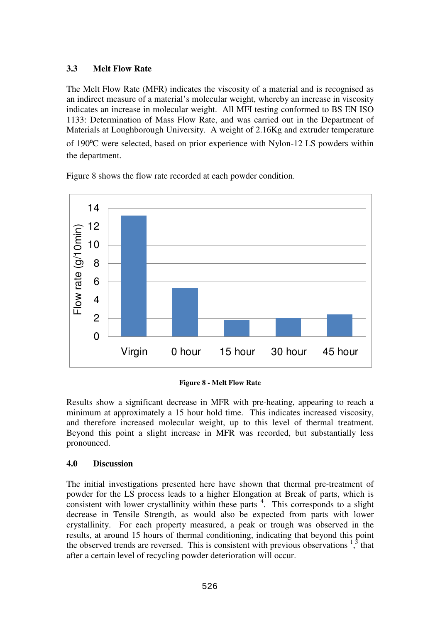## **3.3 Melt Flow Rate**

The Melt Flow Rate (MFR) indicates the viscosity of a material and is recognised as an indirect measure of a material's molecular weight, whereby an increase in viscosity indicates an increase in molecular weight. All MFI testing conformed to BS EN ISO 1133: Determination of Mass Flow Rate, and was carried out in the Department of Materials at Loughborough University. A weight of 2.16Kg and extruder temperature of 190⁰C were selected, based on prior experience with Nylon-12 LS powders within the department.



Figure 8 shows the flow rate recorded at each powder condition.



Results show a significant decrease in MFR with pre-heating, appearing to reach a minimum at approximately a 15 hour hold time. This indicates increased viscosity, and therefore increased molecular weight, up to this level of thermal treatment. Beyond this point a slight increase in MFR was recorded, but substantially less pronounced.

# **4.0 Discussion**

The initial investigations presented here have shown that thermal pre-treatment of powder for the LS process leads to a higher Elongation at Break of parts, which is consistent with lower crystallinity within these parts  $4$ . This corresponds to a slight decrease in Tensile Strength, as would also be expected from parts with lower crystallinity. For each property measured, a peak or trough was observed in the results, at around 15 hours of thermal conditioning, indicating that beyond this point the observed trends are reversed. This is consistent with previous observations  $1<sup>3</sup>$ , that after a certain level of recycling powder deterioration will occur.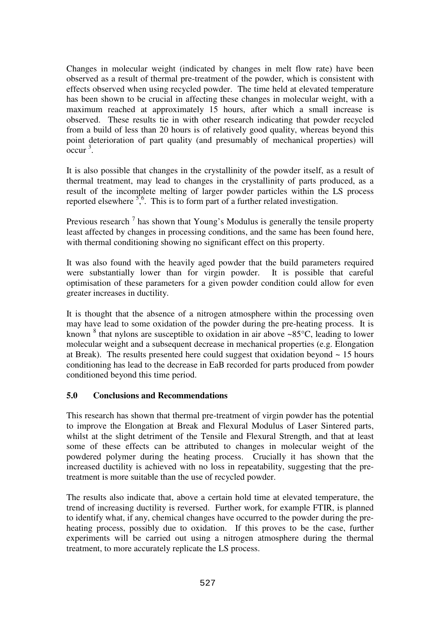Changes in molecular weight (indicated by changes in melt flow rate) have been observed as a result of thermal pre-treatment of the powder, which is consistent with effects observed when using recycled powder. The time held at elevated temperature has been shown to be crucial in affecting these changes in molecular weight, with a maximum reached at approximately 15 hours, after which a small increase is observed. These results tie in with other research indicating that powder recycled from a build of less than 20 hours is of relatively good quality, whereas beyond this point deterioration of part quality (and presumably of mechanical properties) will  $\mathrm{occur}^3$ .

It is also possible that changes in the crystallinity of the powder itself, as a result of thermal treatment, may lead to changes in the crystallinity of parts produced, as a result of the incomplete melting of larger powder particles within the LS process reported elsewhere  $\frac{5}{6}$ . This is to form part of a further related investigation.

Previous research<sup>7</sup> has shown that Young's Modulus is generally the tensile property least affected by changes in processing conditions, and the same has been found here, with thermal conditioning showing no significant effect on this property.

It was also found with the heavily aged powder that the build parameters required were substantially lower than for virgin powder. It is possible that careful optimisation of these parameters for a given powder condition could allow for even greater increases in ductility.

It is thought that the absence of a nitrogen atmosphere within the processing oven may have lead to some oxidation of the powder during the pre-heating process. It is known  $8$  that nylons are susceptible to oxidation in air above ~85 $\degree$ C, leading to lower molecular weight and a subsequent decrease in mechanical properties (e.g. Elongation at Break). The results presented here could suggest that oxidation beyond  $\sim 15$  hours conditioning has lead to the decrease in EaB recorded for parts produced from powder conditioned beyond this time period.

## **5.0 Conclusions and Recommendations**

This research has shown that thermal pre-treatment of virgin powder has the potential to improve the Elongation at Break and Flexural Modulus of Laser Sintered parts, whilst at the slight detriment of the Tensile and Flexural Strength, and that at least some of these effects can be attributed to changes in molecular weight of the powdered polymer during the heating process. Crucially it has shown that the increased ductility is achieved with no loss in repeatability, suggesting that the pretreatment is more suitable than the use of recycled powder.

The results also indicate that, above a certain hold time at elevated temperature, the trend of increasing ductility is reversed. Further work, for example FTIR, is planned to identify what, if any, chemical changes have occurred to the powder during the preheating process, possibly due to oxidation. If this proves to be the case, further experiments will be carried out using a nitrogen atmosphere during the thermal treatment, to more accurately replicate the LS process.